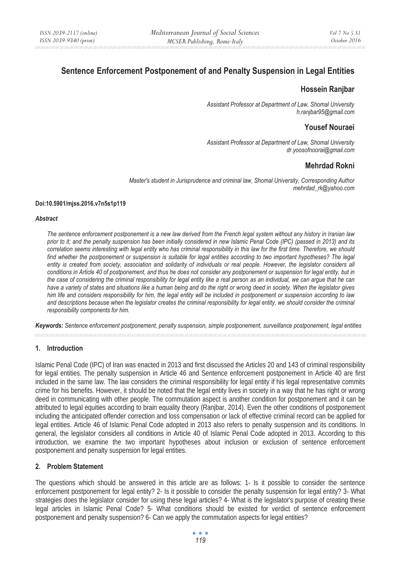# **Sentence Enforcement Postponement of and Penalty Suspension in Legal Entities**

# **Hossein Ranjbar**

*Assistant Professor at Department of Law, Shomal University h.ranjbar95@gmail.com* 

# **Yousef Nouraei**

*Assistant Professor at Department of Law, Shomal University dr.yoosofnoorai@gmail.com* 

# **Mehrdad Rokni**

*Master's student in Jurisprudence and criminal law, Shomal University, Corresponding Author mehrdad\_rk@yahoo.com* 

### **Doi:10.5901/mjss.2016.v7n5s1p119**

### *Abstract*

*The sentence enforcement postponement is a new law derived from the French legal system without any history in Iranian law prior to it; and the penalty suspension has been initially considered in new Islamic Penal Code (IPC) (passed in 2013) and its correlation seems interesting with legal entity who has criminal responsibility in this law for the first time. Therefore, we should*  find whether the postponement or suspension is suitable for legal entities according to two important hypotheses? The legal *entity is created from society, association and solidarity of individuals or real people. However, the legislator considers all conditions in Article 40 of postponement, and thus he does not consider any postponement or suspension for legal entity, but in the case of considering the criminal responsibility for legal entity like a real person as an individual, we can argue that he can have a variety of states and situations like a human being and do the right or wrong deed in society. When the legislator gives him life and considers responsibility for him, the legal entity will be included in postponement or suspension according to law and descriptions because when the legislator creates the criminal responsibility for legal entity, we should consider the criminal responsibility components for him.* 

*Keywords: Sentence enforcement postponement, penalty suspension, simple postponement, surveillance postponement, legal entities* 

## **1. Introduction**

Islamic Penal Code (IPC) of Iran was enacted in 2013 and first discussed the Articles 20 and 143 of criminal responsibility for legal entities. The penalty suspension in Article 46 and Sentence enforcement postponement in Article 40 are first included in the same law. The law considers the criminal responsibility for legal entity if his legal representative commits crime for his benefits. However, it should be noted that the legal entity lives in society in a way that he has right or wrong deed in communicating with other people. The commutation aspect is another condition for postponement and it can be attributed to legal equities according to brain equality theory (Ranjbar, 2014). Even the other conditions of postponement including the anticipated offender correction and loss compensation or lack of effective criminal record can be applied for legal entities. Article 46 of Islamic Penal Code adopted in 2013 also refers to penalty suspension and its conditions. In general, the legislator considers all conditions in Article 40 of Islamic Penal Code adopted in 2013. According to this introduction, we examine the two important hypotheses about inclusion or exclusion of sentence enforcement postponement and penalty suspension for legal entities.

# **2. Problem Statement**

The questions which should be answered in this article are as follows: 1- Is it possible to consider the sentence enforcement postponement for legal entity? 2- Is it possible to consider the penalty suspension for legal entity? 3- What strategies does the legislator consider for using these legal articles? 4- What is the legislator's purpose of creating these legal articles in Islamic Penal Code? 5- What conditions should be existed for verdict of sentence enforcement postponement and penalty suspension? 6- Can we apply the commutation aspects for legal entities?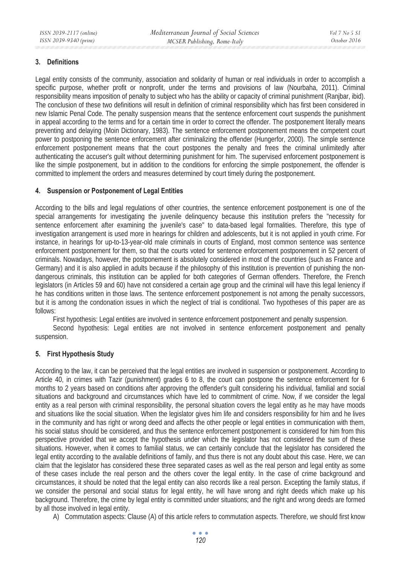# **3. Definitions**

Legal entity consists of the community, association and solidarity of human or real individuals in order to accomplish a specific purpose, whether profit or nonprofit, under the terms and provisions of law (Nourbaha, 2011). Criminal responsibility means imposition of penalty to subject who has the ability or capacity of criminal punishment (Ranjbar, ibid). The conclusion of these two definitions will result in definition of criminal responsibility which has first been considered in new Islamic Penal Code. The penalty suspension means that the sentence enforcement court suspends the punishment in appeal according to the terms and for a certain time in order to correct the offender. The postponement literally means preventing and delaying (Moin Dictionary, 1983). The sentence enforcement postponement means the competent court power to postponing the sentence enforcement after criminalizing the offender (Hungerfor, 2000). The simple sentence enforcement postponement means that the court postpones the penalty and frees the criminal unlimitedly after authenticating the accuser's guilt without determining punishment for him. The supervised enforcement postponement is like the simple postponement, but in addition to the conditions for enforcing the simple postponement, the offender is committed to implement the orders and measures determined by court timely during the postponement.

## **4. Suspension or Postponement of Legal Entities**

According to the bills and legal regulations of other countries, the sentence enforcement postponement is one of the special arrangements for investigating the juvenile delinquency because this institution prefers the "necessity for sentence enforcement after examining the juvenile's case" to data-based legal formalities. Therefore, this type of investigation arrangement is used more in hearings for children and adolescents, but it is not applied in youth crime. For instance, in hearings for up-to-13-year-old male criminals in courts of England, most common sentence was sentence enforcement postponement for them, so that the courts voted for sentence enforcement postponement in 52 percent of criminals. Nowadays, however, the postponement is absolutely considered in most of the countries (such as France and Germany) and it is also applied in adults because if the philosophy of this institution is prevention of punishing the nondangerous criminals, this institution can be applied for both categories of German offenders. Therefore, the French legislators (in Articles 59 and 60) have not considered a certain age group and the criminal will have this legal leniency if he has conditions written in those laws. The sentence enforcement postponement is not among the penalty successors, but it is among the condonation issues in which the neglect of trial is conditional. Two hypotheses of this paper are as follows:

First hypothesis: Legal entities are involved in sentence enforcement postponement and penalty suspension.

Second hypothesis: Legal entities are not involved in sentence enforcement postponement and penalty suspension.

# **5. First Hypothesis Study**

According to the law, it can be perceived that the legal entities are involved in suspension or postponement. According to Article 40, in crimes with Tazir (punishment) grades 6 to 8, the court can postpone the sentence enforcement for 6 months to 2 years based on conditions after approving the offender's guilt considering his individual, familial and social situations and background and circumstances which have led to commitment of crime. Now, if we consider the legal entity as a real person with criminal responsibility, the personal situation covers the legal entity as he may have moods and situations like the social situation. When the legislator gives him life and considers responsibility for him and he lives in the community and has right or wrong deed and affects the other people or legal entities in communication with them, his social status should be considered, and thus the sentence enforcement postponement is considered for him from this perspective provided that we accept the hypothesis under which the legislator has not considered the sum of these situations. However, when it comes to familial status, we can certainly conclude that the legislator has considered the legal entity according to the available definitions of family, and thus there is not any doubt about this case. Here, we can claim that the legislator has considered these three separated cases as well as the real person and legal entity as some of these cases include the real person and the others cover the legal entity. In the case of crime background and circumstances, it should be noted that the legal entity can also records like a real person. Excepting the family status, if we consider the personal and social status for legal entity, he will have wrong and right deeds which make up his background. Therefore, the crime by legal entity is committed under situations; and the right and wrong deeds are formed by all those involved in legal entity.

A) Commutation aspects: Clause (A) of this article refers to commutation aspects. Therefore, we should first know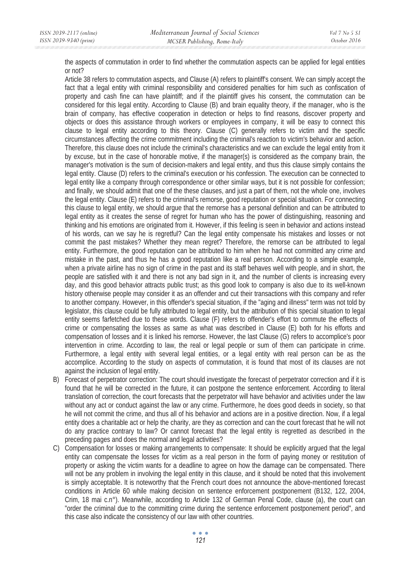the aspects of commutation in order to find whether the commutation aspects can be applied for legal entities or not?

Article 38 refers to commutation aspects, and Clause (A) refers to plaintiff's consent. We can simply accept the fact that a legal entity with criminal responsibility and considered penalties for him such as confiscation of property and cash fine can have plaintiff; and if the plaintiff gives his consent, the commutation can be considered for this legal entity. According to Clause (B) and brain equality theory, if the manager, who is the brain of company, has effective cooperation in detection or helps to find reasons, discover property and objects or does this assistance through workers or employees in company, it will be easy to connect this clause to legal entity according to this theory. Clause (C) generally refers to victim and the specific circumstances affecting the crime commitment including the criminal's reaction to victim's behavior and action. Therefore, this clause does not include the criminal's characteristics and we can exclude the legal entity from it by excuse, but in the case of honorable motive, if the manager(s) is considered as the company brain, the manager's motivation is the sum of decision-makers and legal entity, and thus this clause simply contains the legal entity. Clause (D) refers to the criminal's execution or his confession. The execution can be connected to legal entity like a company through correspondence or other similar ways, but it is not possible for confession; and finally, we should admit that one of the these clauses, and just a part of them, not the whole one, involves the legal entity. Clause (E) refers to the criminal's remorse, good reputation or special situation. For connecting this clause to legal entity, we should argue that the remorse has a personal definition and can be attributed to legal entity as it creates the sense of regret for human who has the power of distinguishing, reasoning and thinking and his emotions are originated from it. However, if this feeling is seen in behavior and actions instead of his words, can we say he is regretful? Can the legal entity compensate his mistakes and losses or not commit the past mistakes? Whether they mean regret? Therefore, the remorse can be attributed to legal entity. Furthermore, the good reputation can be attributed to him when he had not committed any crime and mistake in the past, and thus he has a good reputation like a real person. According to a simple example, when a private airline has no sign of crime in the past and its staff behaves well with people, and in short, the people are satisfied with it and there is not any bad sign in it, and the number of clients is increasing every day, and this good behavior attracts public trust; as this good look to company is also due to its well-known history otherwise people may consider it as an offender and cut their transactions with this company and refer to another company. However, in this offender's special situation, if the "aging and illness" term was not told by legislator, this clause could be fully attributed to legal entity, but the attribution of this special situation to legal entity seems farfetched due to these words. Clause (F) refers to offender's effort to commute the effects of crime or compensating the losses as same as what was described in Clause (E) both for his efforts and compensation of losses and it is linked his remorse. However, the last Clause (G) refers to accomplice's poor intervention in crime. According to law, the real or legal people or sum of them can participate in crime. Furthermore, a legal entity with several legal entities, or a legal entity with real person can be as the accomplice. According to the study on aspects of commutation, it is found that most of its clauses are not against the inclusion of legal entity.

- B) Forecast of perpetrator correction: The court should investigate the forecast of perpetrator correction and if it is found that he will be corrected in the future, it can postpone the sentence enforcement. According to literal translation of correction, the court forecasts that the perpetrator will have behavior and activities under the law without any act or conduct against the law or any crime. Furthermore, he does good deeds in society, so that he will not commit the crime, and thus all of his behavior and actions are in a positive direction. Now, if a legal entity does a charitable act or help the charity, are they as correction and can the court forecast that he will not do any practice contrary to law? Or cannot forecast that the legal entity is regretted as described in the preceding pages and does the normal and legal activities?
- C) Compensation for losses or making arrangements to compensate: It should be explicitly argued that the legal entity can compensate the losses for victim as a real person in the form of paying money or restitution of property or asking the victim wants for a deadline to agree on how the damage can be compensated. There will not be any problem in involving the legal entity in this clause, and it should be noted that this involvement is simply acceptable. It is noteworthy that the French court does not announce the above-mentioned forecast conditions in Article 60 while making decision on sentence enforcement postponement (B132, 122, 2004, Crim, 18 mai c.n°). Meanwhile, according to Article 132 of German Penal Code, clause (a), the court can "order the criminal due to the committing crime during the sentence enforcement postponement period", and this case also indicate the consistency of our law with other countries.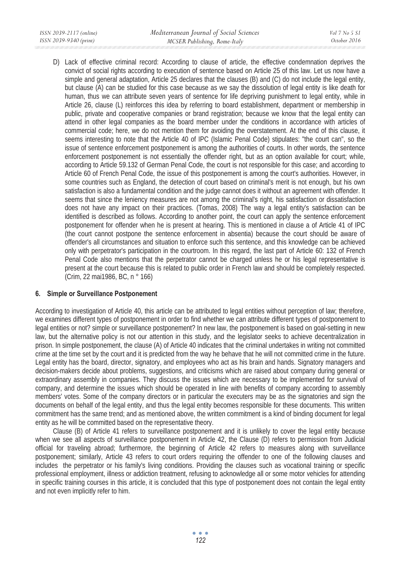D) Lack of effective criminal record: According to clause of article, the effective condemnation deprives the convict of social rights according to execution of sentence based on Article 25 of this law. Let us now have a simple and general adaptation, Article 25 declares that the clauses (B) and (C) do not include the legal entity, but clause (A) can be studied for this case because as we say the dissolution of legal entity is like death for human, thus we can attribute seven years of sentence for life depriving punishment to legal entity, while in Article 26, clause (L) reinforces this idea by referring to board establishment, department or membership in public, private and cooperative companies or brand registration; because we know that the legal entity can attend in other legal companies as the board member under the conditions in accordance with articles of commercial code; here, we do not mention them for avoiding the overstatement. At the end of this clause, it seems interesting to note that the Article 40 of IPC (Islamic Penal Code) stipulates: "the court can", so the issue of sentence enforcement postponement is among the authorities of courts. In other words, the sentence enforcement postponement is not essentially the offender right, but as an option available for court; while, according to Article 59.132 of German Penal Code, the court is not responsible for this case; and according to Article 60 of French Penal Code, the issue of this postponement is among the court's authorities. However, in some countries such as England, the detection of court based on criminal's merit is not enough, but his own satisfaction is also a fundamental condition and the judge cannot does it without an agreement with offender. It seems that since the leniency measures are not among the criminal's right, his satisfaction or dissatisfaction does not have any impact on their practices. (Tomas, 2008) The way a legal entity's satisfaction can be identified is described as follows. According to another point, the court can apply the sentence enforcement postponement for offender when he is present at hearing. This is mentioned in clause a of Article 41 of IPC (the court cannot postpone the sentence enforcement in absentia) because the court should be aware of offender's all circumstances and situation to enforce such this sentence, and this knowledge can be achieved only with perpetrator's participation in the courtroom. In this regard, the last part of Article 60: 132 of French Penal Code also mentions that the perpetrator cannot be charged unless he or his legal representative is present at the court because this is related to public order in French law and should be completely respected. (Crim, 22 mai1986, BC, n ° 166)

# **6. Simple or Surveillance Postponement**

According to investigation of Article 40, this article can be attributed to legal entities without perception of law; therefore, we examines different types of postponement in order to find whether we can attribute different types of postponement to legal entities or not? simple or surveillance postponement? In new law, the postponement is based on goal-setting in new law, but the alternative policy is not our attention in this study, and the legislator seeks to achieve decentralization in prison. In simple postponement, the clause (A) of Article 40 indicates that the criminal undertakes in writing not committed crime at the time set by the court and it is predicted from the way he behave that he will not committed crime in the future. Legal entity has the board, director, signatory, and employees who act as his brain and hands. Signatory managers and decision-makers decide about problems, suggestions, and criticisms which are raised about company during general or extraordinary assembly in companies. They discuss the issues which are necessary to be implemented for survival of company, and determine the issues which should be operated in line with benefits of company according to assembly members' votes. Some of the company directors or in particular the executers may be as the signatories and sign the documents on behalf of the legal entity, and thus the legal entity becomes responsible for these documents. This written commitment has the same trend; and as mentioned above, the written commitment is a kind of binding document for legal entity as he will be committed based on the representative theory.

Clause (B) of Article 41 refers to surveillance postponement and it is unlikely to cover the legal entity because when we see all aspects of surveillance postponement in Article 42, the Clause (D) refers to permission from Judicial official for traveling abroad; furthermore, the beginning of Article 42 refers to measures along with surveillance postponement; similarly, Article 43 refers to court orders requiring the offender to one of the following clauses and includes the perpetrator or his family's living conditions. Providing the clauses such as vocational training or specific professional employment, illness or addiction treatment, refusing to acknowledge all or some motor vehicles for attending in specific training courses in this article, it is concluded that this type of postponement does not contain the legal entity and not even implicitly refer to him.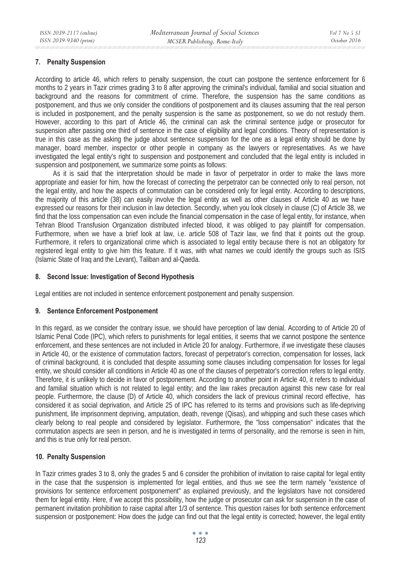## **7. Penalty Suspension**

According to article 46, which refers to penalty suspension, the court can postpone the sentence enforcement for 6 months to 2 years in Tazir crimes grading 3 to 8 after approving the criminal's individual, familial and social situation and background and the reasons for commitment of crime. Therefore, the suspension has the same conditions as postponement, and thus we only consider the conditions of postponement and its clauses assuming that the real person is included in postponement, and the penalty suspension is the same as postponement, so we do not restudy them. However, according to this part of Article 46, the criminal can ask the criminal sentence judge or prosecutor for suspension after passing one third of sentence in the case of eligibility and legal conditions. Theory of representation is true in this case as the asking the judge about sentence suspension for the one as a legal entity should be done by manager, board member, inspector or other people in company as the lawyers or representatives. As we have investigated the legal entity's right to suspension and postponement and concluded that the legal entity is included in suspension and postponement, we summarize some points as follows:

As it is said that the interpretation should be made in favor of perpetrator in order to make the laws more appropriate and easier for him, how the forecast of correcting the perpetrator can be connected only to real person, not the legal entity, and how the aspects of commutation can be considered only for legal entity. According to descriptions, the majority of this article (38) can easily involve the legal entity as well as other clauses of Article 40 as we have expressed our reasons for their inclusion in law detection. Secondly, when you look closely in clause (C) of Article 38, we find that the loss compensation can even include the financial compensation in the case of legal entity, for instance, when Tehran Blood Transfusion Organization distributed infected blood, it was obliged to pay plaintiff for compensation. Furthermore, when we have a brief look at law, i.e. article 508 of Tazir law, we find that it points out the group. Furthermore, it refers to organizational crime which is associated to legal entity because there is not an obligatory for registered legal entity to give him this feature. If it was, with what names we could identify the groups such as ISIS (Islamic State of Iraq and the Levant), Taliban and al-Qaeda.

## **8. Second Issue: Investigation of Second Hypothesis**

Legal entities are not included in sentence enforcement postponement and penalty suspension.

## **9. Sentence Enforcement Postponement**

In this regard, as we consider the contrary issue, we should have perception of law denial. According to of Article 20 of Islamic Penal Code (IPC), which refers to punishments for legal entities, it seems that we cannot postpone the sentence enforcement, and these sentences are not included in Article 20 for analogy. Furthermore, if we investigate these clauses in Article 40, or the existence of commutation factors, forecast of perpetrator's correction, compensation for losses, lack of criminal background, it is concluded that despite assuming some clauses including compensation for losses for legal entity, we should consider all conditions in Article 40 as one of the clauses of perpetrator's correction refers to legal entity. Therefore, it is unlikely to decide in favor of postponement. According to another point in Article 40, it refers to individual and familial situation which is not related to legal entity; and the law rakes precaution against this new case for real people. Furthermore, the clause (D) of Article 40, which considers the lack of previous criminal record effective, has considered it as social deprivation, and Article 25 of IPC has referred to its terms and provisions such as life-depriving punishment, life imprisonment depriving, amputation, death, revenge (Qisas), and whipping and such these cases which clearly belong to real people and considered by legislator. Furthermore, the "loss compensation" indicates that the commutation aspects are seen in person, and he is investigated in terms of personality, and the remorse is seen in him, and this is true only for real person.

# **10. Penalty Suspension**

In Tazir crimes grades 3 to 8, only the grades 5 and 6 consider the prohibition of invitation to raise capital for legal entity in the case that the suspension is implemented for legal entities, and thus we see the term namely "existence of provisions for sentence enforcement postponement" as explained previously, and the legislators have not considered them for legal entity. Here, if we accept this possibility, how the judge or prosecutor can ask for suspension in the case of permanent invitation prohibition to raise capital after 1/3 of sentence. This question raises for both sentence enforcement suspension or postponement: How does the judge can find out that the legal entity is corrected; however, the legal entity